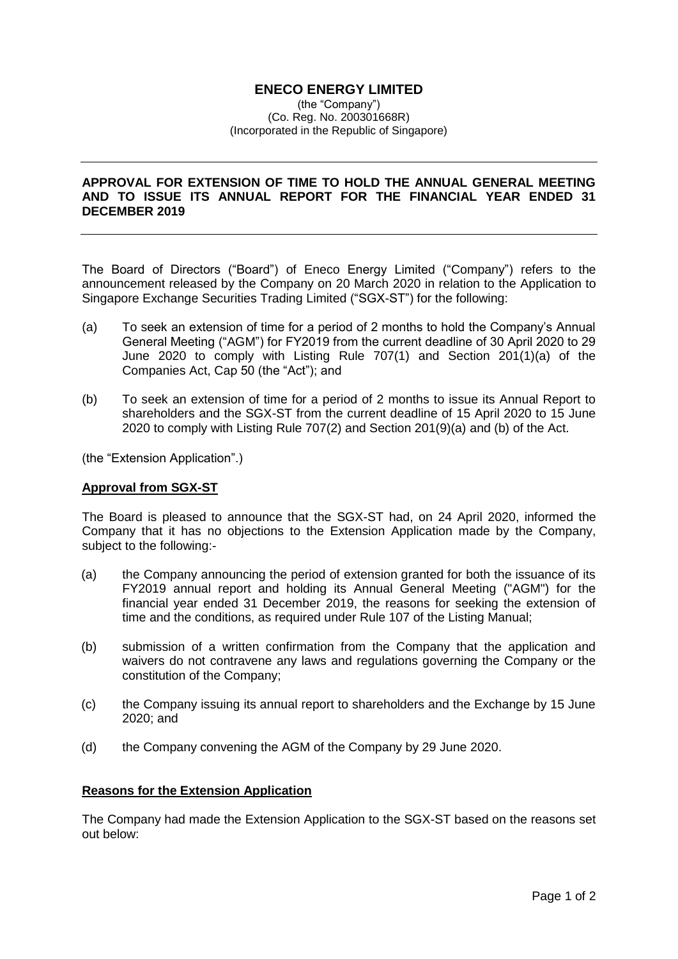## **ENECO ENERGY LIMITED**

(the "Company") (Co. Reg. No. 200301668R) (Incorporated in the Republic of Singapore)

## **APPROVAL FOR EXTENSION OF TIME TO HOLD THE ANNUAL GENERAL MEETING AND TO ISSUE ITS ANNUAL REPORT FOR THE FINANCIAL YEAR ENDED 31 DECEMBER 2019**

The Board of Directors ("Board") of Eneco Energy Limited ("Company") refers to the announcement released by the Company on 20 March 2020 in relation to the Application to Singapore Exchange Securities Trading Limited ("SGX-ST") for the following:

- (a) To seek an extension of time for a period of 2 months to hold the Company's Annual General Meeting ("AGM") for FY2019 from the current deadline of 30 April 2020 to 29 June 2020 to comply with Listing Rule 707(1) and Section 201(1)(a) of the Companies Act, Cap 50 (the "Act"); and
- (b) To seek an extension of time for a period of 2 months to issue its Annual Report to shareholders and the SGX-ST from the current deadline of 15 April 2020 to 15 June 2020 to comply with Listing Rule 707(2) and Section 201(9)(a) and (b) of the Act.

(the "Extension Application".)

## **Approval from SGX-ST**

The Board is pleased to announce that the SGX-ST had, on 24 April 2020, informed the Company that it has no objections to the Extension Application made by the Company, subject to the following:-

- (a) the Company announcing the period of extension granted for both the issuance of its FY2019 annual report and holding its Annual General Meeting ("AGM") for the financial year ended 31 December 2019, the reasons for seeking the extension of time and the conditions, as required under Rule 107 of the Listing Manual;
- (b) submission of a written confirmation from the Company that the application and waivers do not contravene any laws and regulations governing the Company or the constitution of the Company;
- (c) the Company issuing its annual report to shareholders and the Exchange by 15 June 2020; and
- (d) the Company convening the AGM of the Company by 29 June 2020.

## **Reasons for the Extension Application**

The Company had made the Extension Application to the SGX-ST based on the reasons set out below: